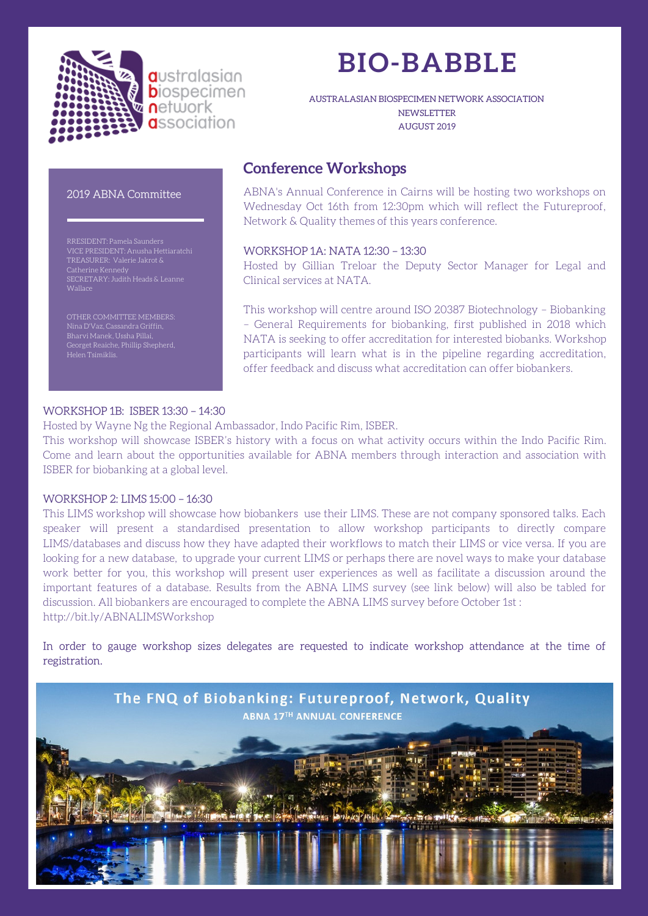

# **BIO-BABBLE**

AUSTRALASIAN BIOSPECIMEN NETWORK ASSOCIATION **NEWSLETTER** AUGUST 2019

### 2019 ABNA Committee

VICE PRESIDENT: Anusha Hettiaratchi TREASURER: Valerie Jakrot & Catherine Kennedy SECRETARY: Judith Heads & Leanne **Wallace** 

OTHER COMMITTEE MEMBERS: Nina D'Vaz, Cassandra Griffin, Georget Reaiche, Phillip Shepherd, Helen Tsimiklis.

### **Conference Workshops**

ABNA's Annual Conference in Cairns will be hosting two workshops on Wednesday Oct 16th from 12:30pm which will reflect the Futureproof, Network & Quality themes of this years conference.

### WORKSHOP 1A: NATA 12:30 – 13:30

Hosted by Gillian Treloar the Deputy Sector Manager for Legal and Clinical services at NATA.

This workshop will centre around ISO 20387 Biotechnology – Biobanking – General Requirements for biobanking, first published in 2018 which NATA is seeking to offer accreditation for interested biobanks. Workshop participants will learn what is in the pipeline regarding accreditation, offer feedback and discuss what accreditation can offer biobankers.

### WORKSHOP 1B: ISBER 13:30 – 14:30

Hosted by Wayne Ng the Regional Ambassador, Indo Pacific Rim, ISBER.

This workshop will showcase ISBER's history with a focus on what activity occurs within the Indo Pacific Rim. Come and learn about the opportunities available for ABNA members through interaction and association with ISBER for biobanking at a global level.

#### WORKSHOP 2: LIMS 15:00 – 16:30

This LIMS workshop will showcase how biobankers use their LIMS. These are not company sponsored talks. Each speaker will present a standardised presentation to allow workshop participants to directly compare LIMS/databases and discuss how they have adapted their workflows to match their LIMS or vice versa. If you are looking for a new database, to upgrade your current LIMS or perhaps there are novel ways to make your database work better for you, this workshop will present user experiences as well as facilitate a discussion around the important features of a database. Results from the ABNA LIMS survey (see link below) will also be tabled for discussion. All biobankers are encouraged to complete the ABNA LIMS survey before October 1st : http://bit.ly/ABNALIMSWorkshop

In order to gauge workshop sizes delegates are requested to indicate workshop attendance at the time of registration.

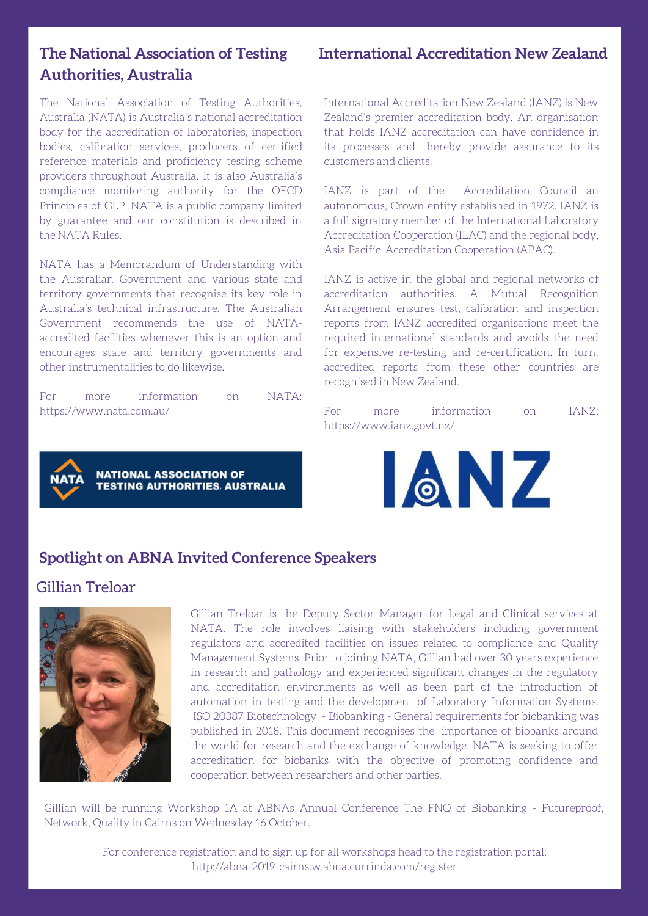### **International Accreditation New Zealand**

# **The National Association of Testing Authorities, Australia**

The National Association of Testing Authorities, Australia (NATA) is Australia's national accreditation body for the accreditation of laboratories, inspection bodies, calibration services, producers of certified reference materials and proficiency testing scheme providers throughout Australia. It is also Australia's compliance monitoring authority for the OECD Principles of GLP. NATA is a public company limited by guarantee and our constitution is described in the NATA Rules.

NATA has a Memorandum of Understanding with the Australian Government and various state and territory governments that recognise its key role in Australia's technical infrastructure. The Australian Government recommends the use of NATAaccredited facilities whenever this is an option and encourages state and territory governments and other instrumentalities to do likewise.

For more information on NATA: https://www.nata.com.au/



International Accreditation New Zealand (IANZ) is New Zealand's premier accreditation body. An organisation that holds IANZ accreditation can have confidence in its processes and thereby provide assurance to its customers and clients.

IANZ is part of the Accreditation Council an autonomous, Crown entity established in 1972. IANZ is a full signatory member of the International Laboratory Accreditation Cooperation (ILAC) and the regional body, Asia Pacific Accreditation Cooperation (APAC).

IANZ is active in the global and regional networks of accreditation authorities. A Mutual Recognition Arrangement ensures test, calibration and inspection reports from IANZ accredited organisations meet the required international standards and avoids the need for expensive re-testing and re-certification. In turn, accredited reports from these other countries are recognised in New Zealand.

For more information on IANZ: https://www.ianz.govt.nz/



# **Spotlight on ABNA Invited Conference Speakers**

# Gillian Treloar



Gillian Treloar is the Deputy Sector Manager for Legal and Clinical services at NATA. The role involves liaising with stakeholders including government regulators and accredited facilities on issues related to compliance and Quality Management Systems. Prior to joining NATA, Gillian had over 30 years experience in research and pathology and experienced significant changes in the regulatory and accreditation environments as well as been part of the introduction of automation in testing and the development of Laboratory Information Systems. ISO 20387 Biotechnology - Biobanking - General requirements for biobanking was published in 2018. This document recognises the importance of biobanks around the world for research and the exchange of knowledge. NATA is seeking to offer accreditation for biobanks with the objective of promoting confidence and cooperation between researchers and other parties.

Gillian will be running Workshop 1A at ABNAs Annual Conference The FNQ of Biobanking - Futureproof, Network, Quality in Cairns on Wednesday 16 October.

> For conference registration and to sign up for all workshops head to the registration portal: http://abna-2019-cairns.w.abna.currinda.com/register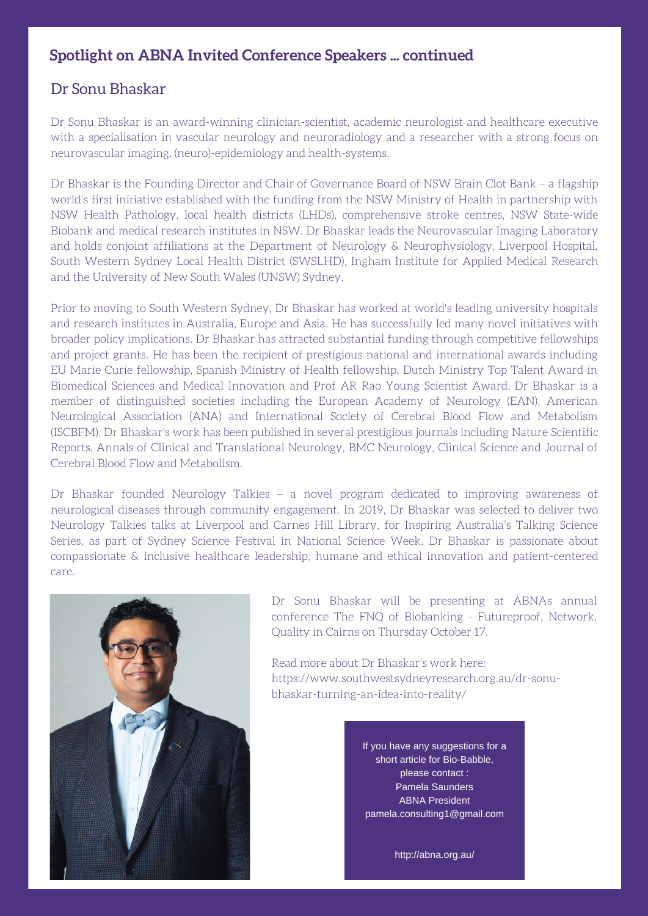# **Spotlight on ABNA Invited Conference Speakers ... continued**

# Dr Sonu Bhaskar

Dr Sonu Bhaskar is an award-winning clinician-scientist, academic neurologist and healthcare executive with a specialisation in vascular neurology and neuroradiology and a researcher with a strong focus on neurovascular imaging, (neuro)-epidemiology and health-systems.

Dr Bhaskar is the Founding Director and Chair of Governance Board of NSW Brain Clot Bank – a flagship world's first initiative established with the funding from the NSW Ministry of Health in partnership with NSW Health Pathology, local health districts (LHDs), comprehensive stroke centres, NSW State-wide Biobank and medical research institutes in NSW. Dr Bhaskar leads the Neurovascular Imaging Laboratory and holds conjoint affiliations at the Department of Neurology & Neurophysiology, Liverpool Hospital, South Western Sydney Local Health District (SWSLHD), Ingham Institute for Applied Medical Research and the University of New South Wales (UNSW) Sydney.

Prior to moving to South Western Sydney, Dr Bhaskar has worked at world's leading university hospitals and research institutes in Australia, Europe and Asia. He has successfully led many novel initiatives with broader policy implications. Dr Bhaskar has attracted substantial funding through competitive fellowships and project grants. He has been the recipient of prestigious national and international awards including EU Marie Curie fellowship, Spanish Ministry of Health fellowship, Dutch Ministry Top Talent Award in Biomedical Sciences and Medical Innovation and Prof AR Rao Young Scientist Award. Dr Bhaskar is a member of distinguished societies including the European Academy of Neurology (EAN), American Neurological Association (ANA) and International Society of Cerebral Blood Flow and Metabolism (ISCBFM). Dr Bhaskar's work has been published in several prestigious journals including Nature Scientific Reports, Annals of Clinical and Translational Neurology, BMC Neurology, Clinical Science and Journal of Cerebral Blood Flow and Metabolism.

Dr Bhaskar founded Neurology Talkies – a novel program dedicated to improving awareness of neurological diseases through community engagement. In 2019, Dr Bhaskar was selected to deliver two Neurology Talkies talks at Liverpool and Carnes Hill Library, for Inspiring Australia's Talking Science Series, as part of Sydney Science Festival in National Science Week. Dr Bhaskar is passionate about compassionate & inclusive healthcare leadership, humane and ethical innovation and patient-centered care.



Dr Sonu Bhaskar will be presenting at ABNAs annual conference The FNQ of Biobanking - Futureproof, Network, Quality in Cairns on Thursday October 17.

Read more about Dr Bhaskar's work here: https://www.southwestsydneyresearch.org.au/dr-sonubhaskar-turning-an-idea-into-reality/

> If you have any suggestions for a short article for Bio-Babble, please contact : Pamela Saunders ABNA President pamela.consulting1@gmail.com

> > http://abna.org.au/